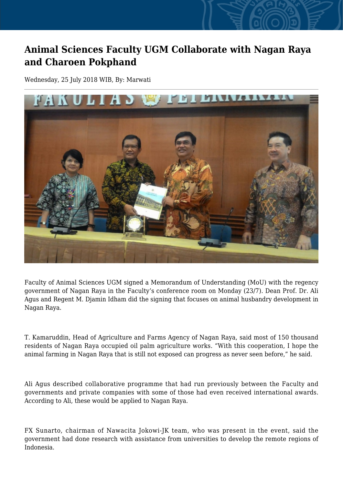## **Animal Sciences Faculty UGM Collaborate with Nagan Raya and Charoen Pokphand**

Wednesday, 25 July 2018 WIB, By: Marwati



Faculty of Animal Sciences UGM signed a Memorandum of Understanding (MoU) with the regency government of Nagan Raya in the Faculty's conference room on Monday (23/7). Dean Prof. Dr. Ali Agus and Regent M. Djamin Idham did the signing that focuses on animal husbandry development in Nagan Raya.

T. Kamaruddin, Head of Agriculture and Farms Agency of Nagan Raya, said most of 150 thousand residents of Nagan Raya occupied oil palm agriculture works. "With this cooperation, I hope the animal farming in Nagan Raya that is still not exposed can progress as never seen before," he said.

Ali Agus described collaborative programme that had run previously between the Faculty and governments and private companies with some of those had even received international awards. According to Ali, these would be applied to Nagan Raya.

FX Sunarto, chairman of Nawacita Jokowi-JK team, who was present in the event, said the government had done research with assistance from universities to develop the remote regions of Indonesia.